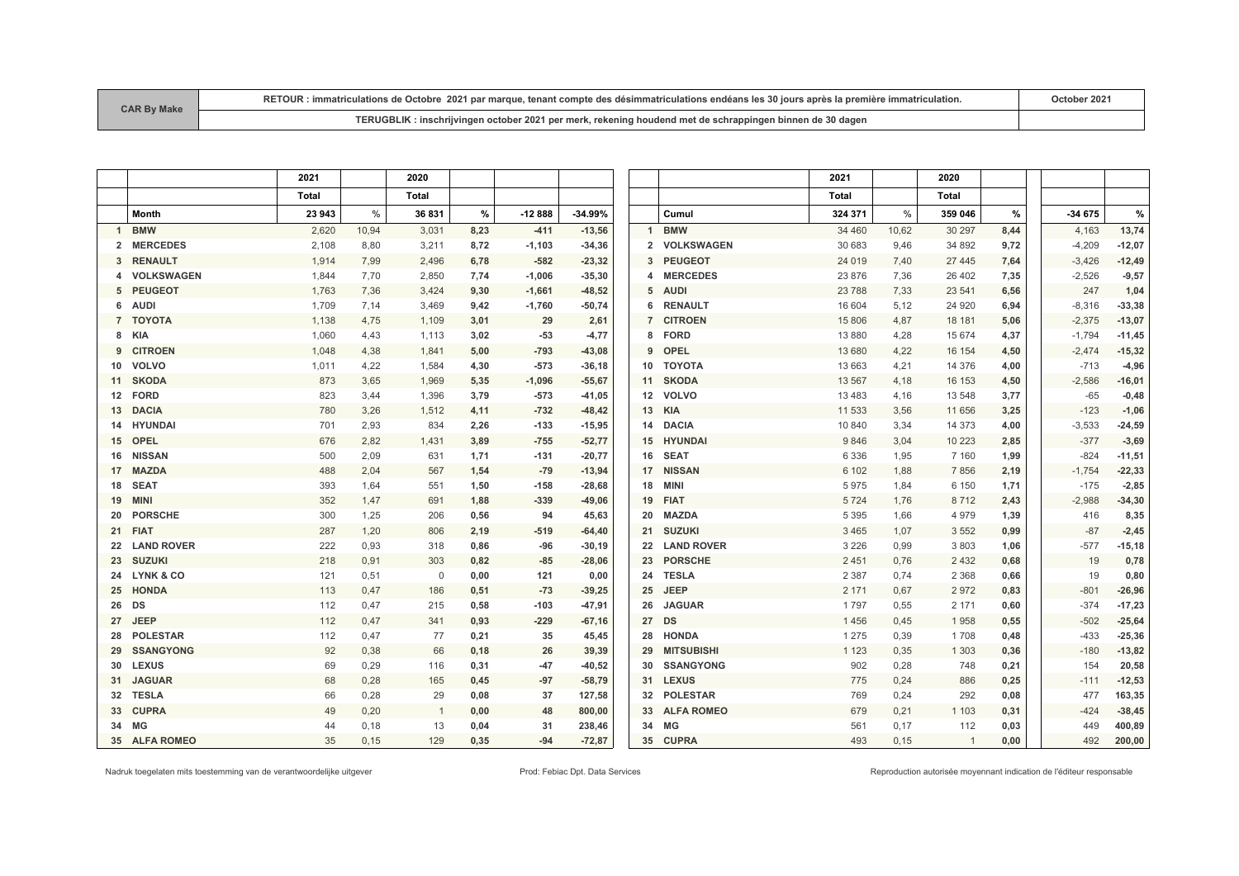| <b>CAR By Make</b> | RETOUR : immatriculations de Octobre 2021 par marque, tenant compte des désimmatriculations endéans les 30 iours après la première immatriculation, |  |  |  |  |  |  |  |  |
|--------------------|-----------------------------------------------------------------------------------------------------------------------------------------------------|--|--|--|--|--|--|--|--|
|                    | TERUGBLIK: inschrijvingen october 2021 per merk, rekening houdend met de schrappingen binnen de 30 dagen                                            |  |  |  |  |  |  |  |  |

|                   |                      | 2021   |       | 2020           |      |          |           |    |                                   | 2021         |               | 2020           |      |          |          |
|-------------------|----------------------|--------|-------|----------------|------|----------|-----------|----|-----------------------------------|--------------|---------------|----------------|------|----------|----------|
|                   |                      | Total  |       | Total          |      |          |           |    |                                   | <b>Total</b> |               | <b>Total</b>   |      |          |          |
|                   | <b>Month</b>         | 23 943 | $\%$  | 36831          | %    | $-12888$ | $-34.99%$ |    | Cumul                             | 324 371      | $\frac{0}{0}$ | 359 046        | %    | $-34675$ | %        |
| 1                 | <b>BMW</b>           | 2,620  | 10,94 | 3,031          | 8,23 | $-411$   | $-13,56$  |    | <b>BMW</b><br>$\mathbf{1}$        | 34 460       | 10,62         | 30 297         | 8,44 | 4,163    | 13,74    |
| $\mathbf{2}$      | <b>MERCEDES</b>      | 2,108  | 8,80  | 3,211          | 8,72 | $-1,103$ | $-34,36$  |    | <b>VOLKSWAGEN</b><br>$\mathbf{2}$ | 30 683       | 9.46          | 34 892         | 9,72 | $-4,209$ | $-12,07$ |
|                   | 3 RENAULT            | 1,914  | 7,99  | 2,496          | 6,78 | $-582$   | $-23,32$  |    | <b>PEUGEOT</b><br>3               | 24 0 19      | 7,40          | 27 445         | 7,64 | $-3,426$ | $-12,49$ |
| 4                 | <b>VOLKSWAGEN</b>    | 1,844  | 7,70  | 2,850          | 7,74 | $-1,006$ | $-35,30$  |    | <b>MERCEDES</b><br>4              | 23 876       | 7,36          | 26 402         | 7,35 | $-2,526$ | $-9,57$  |
|                   | 5 PEUGEOT            | 1,763  | 7,36  | 3,424          | 9,30 | $-1,661$ | $-48,52$  |    | <b>AUDI</b><br>5                  | 23788        | 7,33          | 23 541         | 6,56 | 247      | 1,04     |
| 6                 | AUDI                 | 1,709  | 7,14  | 3,469          | 9,42 | $-1,760$ | $-50,74$  |    | <b>RENAULT</b><br>6               | 16 604       | 5,12          | 24 9 20        | 6,94 | $-8,316$ | $-33,38$ |
| $\overline{7}$    | TOYOTA               | 1,138  | 4,75  | 1,109          | 3.01 | 29       | 2,61      |    | <b>CITROEN</b><br>$\mathbf{7}$    | 15 806       | 4,87          | 18 18 1        | 5,06 | $-2,375$ | $-13,07$ |
| 8                 | KIA                  | 1,060  | 4,43  | 1,113          | 3,02 | $-53$    | $-4,77$   |    | <b>FORD</b><br>8                  | 13 8 8 0     | 4,28          | 15 674         | 4,37 | $-1,794$ | $-11,45$ |
| 9                 | <b>CITROEN</b>       | 1,048  | 4,38  | 1,841          | 5,00 | $-793$   | $-43,08$  |    | OPEL<br>9                         | 13 680       | 4,22          | 16 154         | 4,50 | $-2,474$ | $-15,32$ |
| 10                | <b>VOLVO</b>         | 1,011  | 4,22  | 1,584          | 4,30 | $-573$   | $-36,18$  | 10 | <b>TOYOTA</b>                     | 13 663       | 4,21          | 14 376         | 4,00 | $-713$   | $-4,96$  |
| 11                | <b>SKODA</b>         | 873    | 3,65  | 1,969          | 5,35 | $-1,096$ | $-55,67$  |    | 11 SKODA                          | 13 567       | 4,18          | 16 153         | 4,50 | $-2,586$ | $-16,01$ |
| $12 \overline{ }$ | <b>FORD</b>          | 823    | 3,44  | 1,396          | 3,79 | $-573$   | $-41,05$  |    | 12 VOLVO                          | 13 4 8 3     | 4,16          | 13 548         | 3,77 | $-65$    | $-0,48$  |
| 13                | <b>DACIA</b>         | 780    | 3,26  | 1,512          | 4,11 | $-732$   | $-48,42$  |    | 13 KIA                            | 11 533       | 3,56          | 11 656         | 3,25 | $-123$   | $-1,06$  |
| 14                | <b>HYUNDAI</b>       | 701    | 2,93  | 834            | 2,26 | -133     | $-15,95$  | 14 | <b>DACIA</b>                      | 10 840       | 3,34          | 14 373         | 4,00 | $-3,533$ | $-24,59$ |
| 15                | <b>OPEL</b>          | 676    | 2,82  | 1,431          | 3,89 | $-755$   | $-52,77$  |    | 15 HYUNDAI                        | 9846         | 3,04          | 10 223         | 2,85 | $-377$   | $-3,69$  |
| 16                | <b>NISSAN</b>        | 500    | 2,09  | 631            | 1,71 | -131     | $-20,77$  | 16 | <b>SEAT</b>                       | 6 3 3 6      | 1,95          | 7 1 6 0        | 1,99 | $-824$   | $-11,51$ |
| 17                | <b>MAZDA</b>         | 488    | 2,04  | 567            | 1,54 | $-79$    | $-13,94$  | 17 | <b>NISSAN</b>                     | 6 1 0 2      | 1,88          | 7856           | 2,19 | $-1,754$ | $-22,33$ |
| 18                | <b>SEAT</b>          | 393    | 1,64  | 551            | 1,50 | $-158$   | $-28,68$  | 18 | MINI                              | 5975         | 1,84          | 6 1 5 0        | 1,71 | $-175$   | $-2,85$  |
| 19                | <b>MINI</b>          | 352    | 1,47  | 691            | 1,88 | $-339$   | $-49,06$  | 19 | <b>FIAT</b>                       | 5724         | 1,76          | 8712           | 2,43 | $-2,988$ | $-34,30$ |
| 20                | <b>PORSCHE</b>       | 300    | 1,25  | 206            | 0,56 | 94       | 45,63     | 20 | <b>MAZDA</b>                      | 5 3 9 5      | 1,66          | 4979           | 1,39 | 416      | 8,35     |
| 21                | <b>FIAT</b>          | 287    | 1,20  | 806            | 2,19 | $-519$   | $-64,40$  |    | 21 SUZUKI                         | 3 4 6 5      | 1,07          | 3 5 5 2        | 0,99 | $-87$    | $-2,45$  |
| 22                | <b>LAND ROVER</b>    | 222    | 0,93  | 318            | 0,86 | -96      | $-30,19$  |    | 22 LAND ROVER                     | 3 2 2 6      | 0,99          | 3803           | 1,06 | $-577$   | $-15,18$ |
|                   | 23 SUZUKI            | 218    | 0,91  | 303            | 0,82 | $-85$    | $-28,06$  | 23 | <b>PORSCHE</b>                    | 2 4 5 1      | 0,76          | 2 4 3 2        | 0,68 | 19       | 0,78     |
|                   | <b>LYNK &amp; CO</b> | 121    | 0,51  | $\mathbf{0}$   | 0,00 | 121      | 0,00      | 24 | <b>TESLA</b>                      | 2 3 8 7      | 0,74          | 2 3 6 8        | 0,66 | 19       | 0,80     |
| 25                | <b>HONDA</b>         | 113    | 0,47  | 186            | 0,51 | $-73$    | $-39,25$  | 25 | <b>JEEP</b>                       | 2 171        | 0,67          | 2972           | 0,83 | $-801$   | $-26,96$ |
| 26                | DS                   | 112    | 0,47  | 215            | 0,58 | $-103$   | $-47,91$  | 26 | <b>JAGUAR</b>                     | 1797         | 0,55          | 2 1 7 1        | 0,60 | $-374$   | $-17,23$ |
| 27                | <b>JEEP</b>          | 112    | 0,47  | 341            | 0,93 | $-229$   | $-67,16$  |    | 27 DS                             | 1456         | 0,45          | 1958           | 0,55 | $-502$   | $-25,64$ |
| 28                | <b>POLESTAR</b>      | 112    | 0,47  | 77             | 0,21 | 35       | 45,45     | 28 | <b>HONDA</b>                      | 1 2 7 5      | 0,39          | 1708           | 0,48 | $-433$   | $-25,36$ |
| 29                | <b>SSANGYONG</b>     | 92     | 0,38  | 66             | 0,18 | 26       | 39,39     | 29 | <b>MITSUBISHI</b>                 | 1 1 2 3      | 0,35          | 1 3 0 3        | 0,36 | $-180$   | $-13,82$ |
| 30                | <b>LEXUS</b>         | 69     | 0,29  | 116            | 0,31 | $-47$    | $-40,52$  | 30 | <b>SSANGYONG</b>                  | 902          | 0,28          | 748            | 0,21 | 154      | 20,58    |
| 31                | <b>JAGUAR</b>        | 68     | 0,28  | 165            | 0.45 | $-97$    | $-58,79$  |    | 31 LEXUS                          | 775          | 0,24          | 886            | 0,25 | $-111$   | $-12,53$ |
| 32                | <b>TESLA</b>         | 66     | 0,28  | 29             | 0,08 | 37       | 127,58    |    | 32 POLESTAR                       | 769          | 0,24          | 292            | 0,08 | 477      | 163,35   |
|                   | 33 CUPRA             | 49     | 0,20  | $\overline{1}$ | 0,00 | 48       | 800,00    |    | 33 ALFA ROMEO                     | 679          | 0,21          | 1 1 0 3        | 0,31 | $-424$   | $-38,45$ |
| 34                | МG                   | 44     | 0,18  | 13             | 0,04 | 31       | 238,46    |    | 34 MG                             | 561          | 0,17          | 112            | 0,03 | 449      | 400,89   |
|                   | 35 ALFA ROMEO        | 35     | 0,15  | 129            | 0,35 | $-94$    | $-72,87$  |    | 35 CUPRA                          | 493          | 0, 15         | $\overline{1}$ | 0,00 | 492      | 200,00   |

Nadruk toegelaten mits toestemming van de verantwoordelijke uitgever enter enter enter enter enter enter autorisée moyennant indication de l'éditeur responsable responsable prod: Febiac Dpt. Data Services enter enter enter